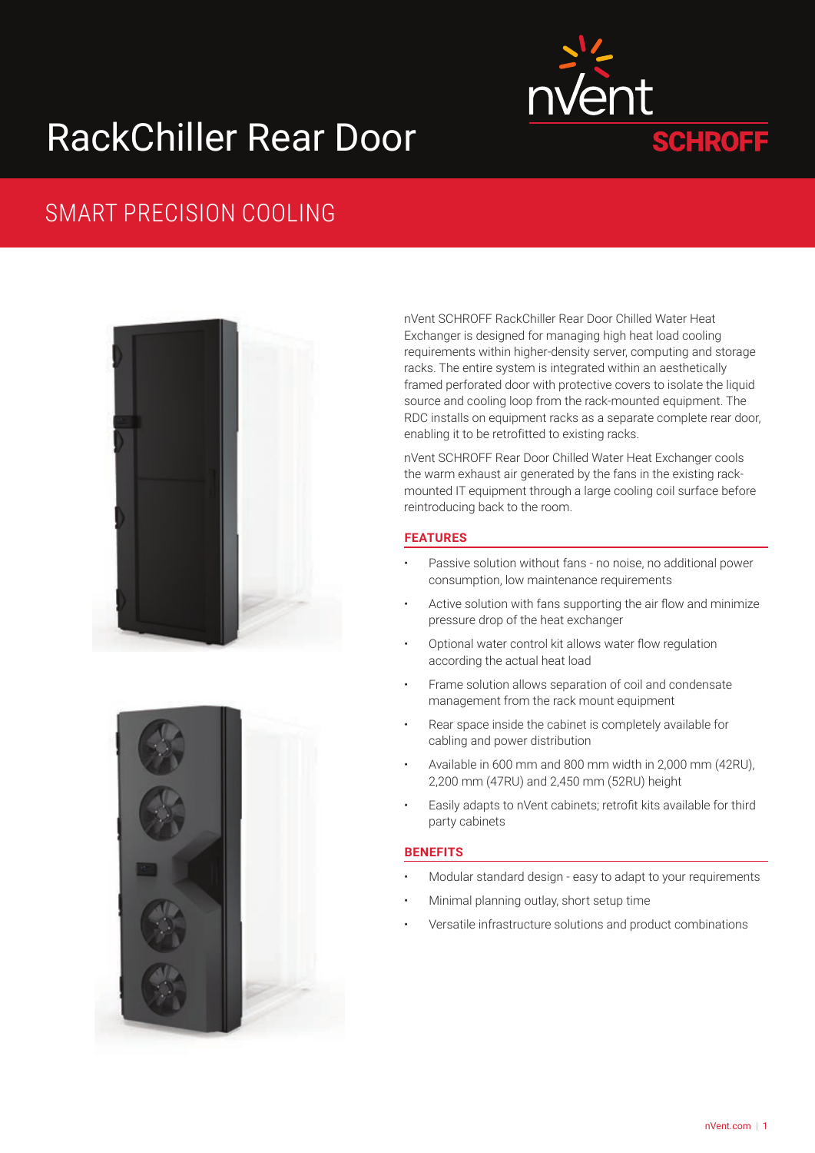# RackChiller Rear Door



# SMART PRECISION COOLING



nVent SCHROFF RackChiller Rear Door Chilled Water Heat Exchanger is designed for managing high heat load cooling requirements within higher-density server, computing and storage racks. The entire system is integrated within an aesthetically framed perforated door with protective covers to isolate the liquid source and cooling loop from the rack-mounted equipment. The RDC installs on equipment racks as a separate complete rear door, enabling it to be retrofitted to existing racks.

nVent SCHROFF Rear Door Chilled Water Heat Exchanger cools the warm exhaust air generated by the fans in the existing rackmounted IT equipment through a large cooling coil surface before reintroducing back to the room.

## **FEATURES**

- Passive solution without fans no noise, no additional power consumption, low maintenance requirements
- Active solution with fans supporting the air flow and minimize pressure drop of the heat exchanger
- Optional water control kit allows water flow regulation according the actual heat load
- Frame solution allows separation of coil and condensate management from the rack mount equipment
- Rear space inside the cabinet is completely available for cabling and power distribution
- Available in 600 mm and 800 mm width in 2,000 mm (42RU), 2,200 mm (47RU) and 2,450 mm (52RU) height
- Easily adapts to nVent cabinets; retrofit kits available for third party cabinets

### **BENEFITS**

- Modular standard design easy to adapt to your requirements
- Minimal planning outlay, short setup time
- Versatile infrastructure solutions and product combinations